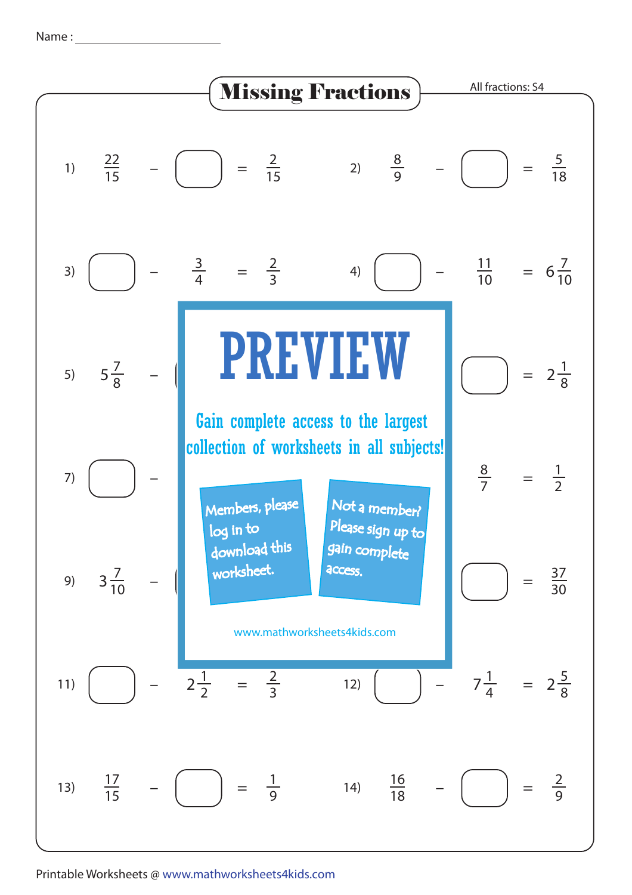